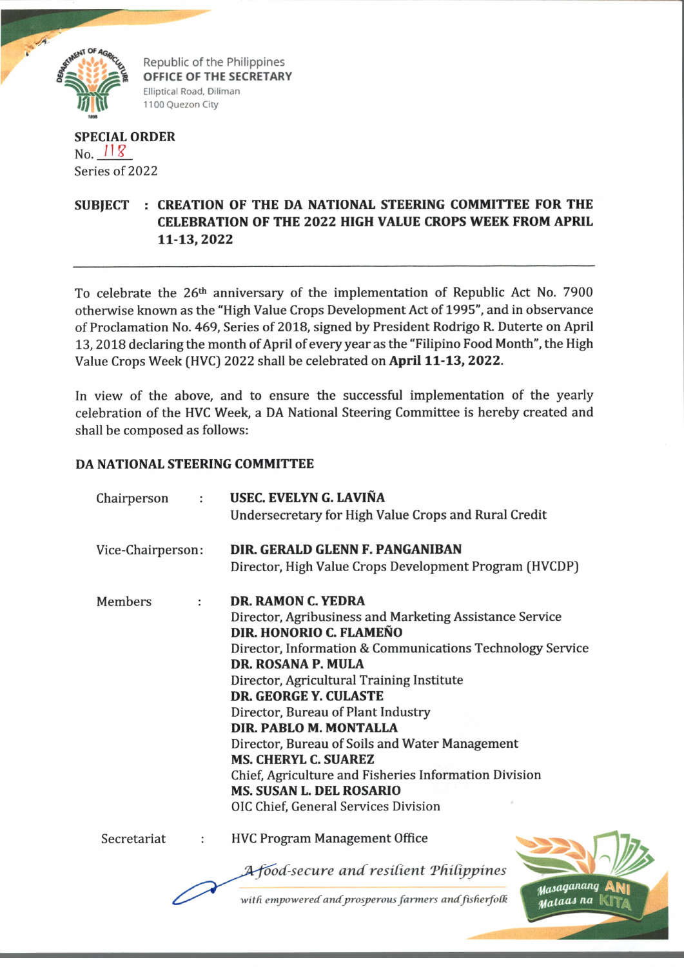

Republic of the Philippines **OFFICE OF THE SECRETARY** Elliptical Road, Diliman 1100 Quezon City

**f** for the second control of the second control of the second control of the second control of the second control of the second control of the second control of the second control of the second control of the second contr

## **SPECIAL ORDER No.**  $118$ Series of 2022

## **SUBJECT : CREATION OF THE DA NATIONAL STEERING COMMITTEE FOR THE CELEBRATION OF THE 2022 HIGH VALUE CROPS WEEK FROM APRIL 11-13,2022**

To celebrate the 26th anniversary of the implementation of Republic Act No. 7900 otherwise known as the "High Value Crops Development Act of 1995", and in observance of Proclamation No. 469, Series of 2018, signed by President Rodrigo R. Duterte on April 13,2018 declaring the month of April of every year as the "Filipino Food Month", the High Value Crops Week (HVC) 2022 shall be celebrated on **April 11-13, 2022.**

In view of the above, and to ensure the successful implementation of the yearly celebration of the HVC Week, a DA National Steering Committee is hereby created and shall be composed as follows:

## **DA NATIONAL STEERING COMMITTEE**

| Chairperson       | ÷ | USEC. EVELYN G. LAVIÑA<br>Undersecretary for High Value Crops and Rural Credit   |
|-------------------|---|----------------------------------------------------------------------------------|
|                   |   |                                                                                  |
| Vice-Chairperson: |   | DIR. GERALD GLENN F. PANGANIBAN                                                  |
|                   |   | Director, High Value Crops Development Program (HVCDP)                           |
| <b>Members</b>    |   | DR. RAMON C. YEDRA                                                               |
|                   |   | Director, Agribusiness and Marketing Assistance Service                          |
|                   |   | DIR. HONORIO C. FLAMEÑO                                                          |
|                   |   | Director, Information & Communications Technology Service                        |
|                   |   | DR. ROSANA P. MULA                                                               |
|                   |   | Director, Agricultural Training Institute                                        |
|                   |   | <b>DR. GEORGE Y. CULASTE</b>                                                     |
|                   |   | Director, Bureau of Plant Industry                                               |
|                   |   | DIR. PABLO M. MONTALLA                                                           |
|                   |   | Director, Bureau of Soils and Water Management                                   |
|                   |   | <b>MS. CHERYL C. SUAREZ</b>                                                      |
|                   |   | Chief, Agriculture and Fisheries Information Division                            |
|                   |   | <b>MS. SUSAN L. DEL ROSARIO</b>                                                  |
|                   |   | OIC Chief, General Services Division                                             |
| Secretariat       | ÷ | <b>HVC Program Management Office</b>                                             |
|                   |   | <b>A food-secure and resilient Philippines</b>                                   |
|                   |   | stasaganang<br>with empowered and prosperous farmers and fisherfolk<br>Mataas na |